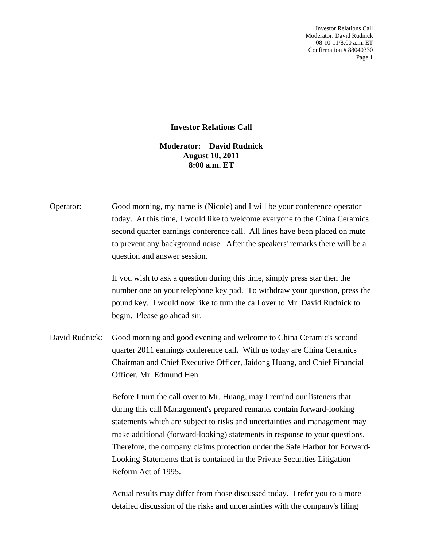Investor Relations Call Moderator: David Rudnick 08-10-11/8:00 a.m. ET Confirmation # 88040330 Page 1

## **Investor Relations Call**

## **Moderator: David Rudnick August 10, 2011 8:00 a.m. ET**

| Operator: | Good morning, my name is (Nicole) and I will be your conference operator     |
|-----------|------------------------------------------------------------------------------|
|           | today. At this time, I would like to welcome everyone to the China Ceramics  |
|           | second quarter earnings conference call. All lines have been placed on mute  |
|           | to prevent any background noise. After the speakers' remarks there will be a |
|           | question and answer session.                                                 |

 If you wish to ask a question during this time, simply press star then the number one on your telephone key pad. To withdraw your question, press the pound key. I would now like to turn the call over to Mr. David Rudnick to begin. Please go ahead sir.

David Rudnick: Good morning and good evening and welcome to China Ceramic's second quarter 2011 earnings conference call. With us today are China Ceramics Chairman and Chief Executive Officer, Jaidong Huang, and Chief Financial Officer, Mr. Edmund Hen.

> Before I turn the call over to Mr. Huang, may I remind our listeners that during this call Management's prepared remarks contain forward-looking statements which are subject to risks and uncertainties and management may make additional (forward-looking) statements in response to your questions. Therefore, the company claims protection under the Safe Harbor for Forward-Looking Statements that is contained in the Private Securities Litigation Reform Act of 1995.

 Actual results may differ from those discussed today. I refer you to a more detailed discussion of the risks and uncertainties with the company's filing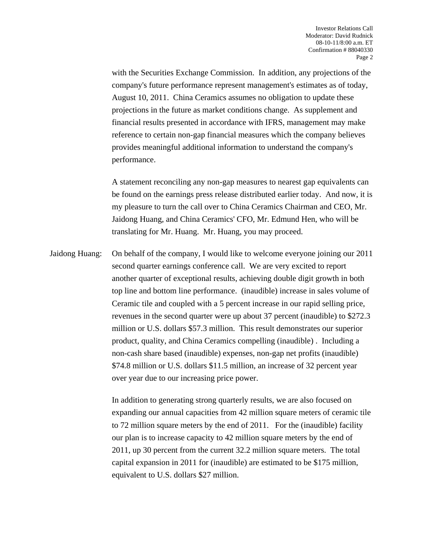with the Securities Exchange Commission. In addition, any projections of the company's future performance represent management's estimates as of today, August 10, 2011. China Ceramics assumes no obligation to update these projections in the future as market conditions change. As supplement and financial results presented in accordance with IFRS, management may make reference to certain non-gap financial measures which the company believes provides meaningful additional information to understand the company's performance.

 A statement reconciling any non-gap measures to nearest gap equivalents can be found on the earnings press release distributed earlier today. And now, it is my pleasure to turn the call over to China Ceramics Chairman and CEO, Mr. Jaidong Huang, and China Ceramics' CFO, Mr. Edmund Hen, who will be translating for Mr. Huang. Mr. Huang, you may proceed.

Jaidong Huang: On behalf of the company, I would like to welcome everyone joining our 2011 second quarter earnings conference call. We are very excited to report another quarter of exceptional results, achieving double digit growth in both top line and bottom line performance. (inaudible) increase in sales volume of Ceramic tile and coupled with a 5 percent increase in our rapid selling price, revenues in the second quarter were up about 37 percent (inaudible) to \$272.3 million or U.S. dollars \$57.3 million. This result demonstrates our superior product, quality, and China Ceramics compelling (inaudible) . Including a non-cash share based (inaudible) expenses, non-gap net profits (inaudible) \$74.8 million or U.S. dollars \$11.5 million, an increase of 32 percent year over year due to our increasing price power.

> In addition to generating strong quarterly results, we are also focused on expanding our annual capacities from 42 million square meters of ceramic tile to 72 million square meters by the end of 2011. For the (inaudible) facility our plan is to increase capacity to 42 million square meters by the end of 2011, up 30 percent from the current 32.2 million square meters. The total capital expansion in 2011 for (inaudible) are estimated to be \$175 million, equivalent to U.S. dollars \$27 million.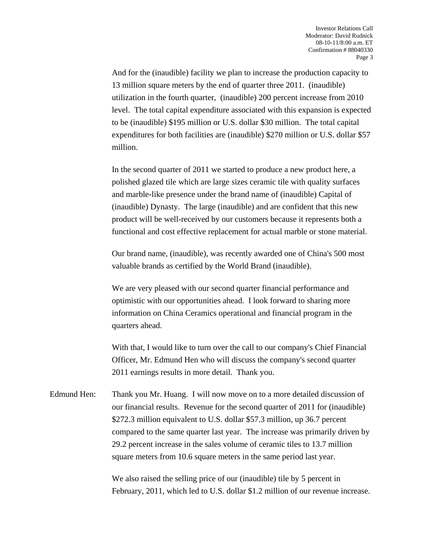And for the (inaudible) facility we plan to increase the production capacity to 13 million square meters by the end of quarter three 2011. (inaudible) utilization in the fourth quarter, (inaudible) 200 percent increase from 2010 level. The total capital expenditure associated with this expansion is expected to be (inaudible) \$195 million or U.S. dollar \$30 million. The total capital expenditures for both facilities are (inaudible) \$270 million or U.S. dollar \$57 million.

 In the second quarter of 2011 we started to produce a new product here, a polished glazed tile which are large sizes ceramic tile with quality surfaces and marble-like presence under the brand name of (inaudible) Capital of (inaudible) Dynasty. The large (inaudible) and are confident that this new product will be well-received by our customers because it represents both a functional and cost effective replacement for actual marble or stone material.

 Our brand name, (inaudible), was recently awarded one of China's 500 most valuable brands as certified by the World Brand (inaudible).

 We are very pleased with our second quarter financial performance and optimistic with our opportunities ahead. I look forward to sharing more information on China Ceramics operational and financial program in the quarters ahead.

 With that, I would like to turn over the call to our company's Chief Financial Officer, Mr. Edmund Hen who will discuss the company's second quarter 2011 earnings results in more detail. Thank you.

Edmund Hen: Thank you Mr. Huang. I will now move on to a more detailed discussion of our financial results. Revenue for the second quarter of 2011 for (inaudible) \$272.3 million equivalent to U.S. dollar \$57.3 million, up 36.7 percent compared to the same quarter last year. The increase was primarily driven by 29.2 percent increase in the sales volume of ceramic tiles to 13.7 million square meters from 10.6 square meters in the same period last year.

> We also raised the selling price of our (inaudible) tile by 5 percent in February, 2011, which led to U.S. dollar \$1.2 million of our revenue increase.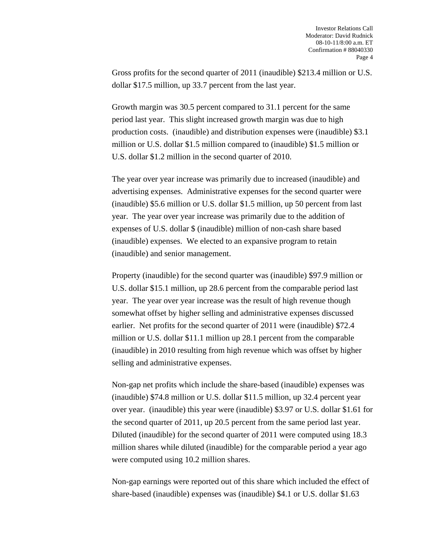Gross profits for the second quarter of 2011 (inaudible) \$213.4 million or U.S. dollar \$17.5 million, up 33.7 percent from the last year.

 Growth margin was 30.5 percent compared to 31.1 percent for the same period last year. This slight increased growth margin was due to high production costs. (inaudible) and distribution expenses were (inaudible) \$3.1 million or U.S. dollar \$1.5 million compared to (inaudible) \$1.5 million or U.S. dollar \$1.2 million in the second quarter of 2010.

 The year over year increase was primarily due to increased (inaudible) and advertising expenses. Administrative expenses for the second quarter were (inaudible) \$5.6 million or U.S. dollar \$1.5 million, up 50 percent from last year. The year over year increase was primarily due to the addition of expenses of U.S. dollar \$ (inaudible) million of non-cash share based (inaudible) expenses. We elected to an expansive program to retain (inaudible) and senior management.

 Property (inaudible) for the second quarter was (inaudible) \$97.9 million or U.S. dollar \$15.1 million, up 28.6 percent from the comparable period last year. The year over year increase was the result of high revenue though somewhat offset by higher selling and administrative expenses discussed earlier. Net profits for the second quarter of 2011 were (inaudible) \$72.4 million or U.S. dollar \$11.1 million up 28.1 percent from the comparable (inaudible) in 2010 resulting from high revenue which was offset by higher selling and administrative expenses.

 Non-gap net profits which include the share-based (inaudible) expenses was (inaudible) \$74.8 million or U.S. dollar \$11.5 million, up 32.4 percent year over year. (inaudible) this year were (inaudible) \$3.97 or U.S. dollar \$1.61 for the second quarter of 2011, up 20.5 percent from the same period last year. Diluted (inaudible) for the second quarter of 2011 were computed using 18.3 million shares while diluted (inaudible) for the comparable period a year ago were computed using 10.2 million shares.

 Non-gap earnings were reported out of this share which included the effect of share-based (inaudible) expenses was (inaudible) \$4.1 or U.S. dollar \$1.63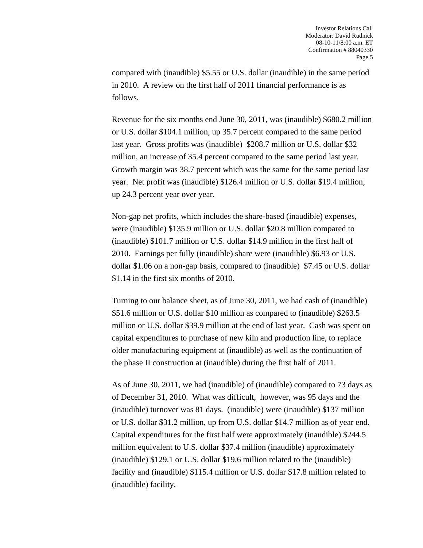compared with (inaudible) \$5.55 or U.S. dollar (inaudible) in the same period in 2010. A review on the first half of 2011 financial performance is as follows.

 Revenue for the six months end June 30, 2011, was (inaudible) \$680.2 million or U.S. dollar \$104.1 million, up 35.7 percent compared to the same period last year. Gross profits was (inaudible) \$208.7 million or U.S. dollar \$32 million, an increase of 35.4 percent compared to the same period last year. Growth margin was 38.7 percent which was the same for the same period last year. Net profit was (inaudible) \$126.4 million or U.S. dollar \$19.4 million, up 24.3 percent year over year.

 Non-gap net profits, which includes the share-based (inaudible) expenses, were (inaudible) \$135.9 million or U.S. dollar \$20.8 million compared to (inaudible) \$101.7 million or U.S. dollar \$14.9 million in the first half of 2010. Earnings per fully (inaudible) share were (inaudible) \$6.93 or U.S. dollar \$1.06 on a non-gap basis, compared to (inaudible) \$7.45 or U.S. dollar \$1.14 in the first six months of 2010.

 Turning to our balance sheet, as of June 30, 2011, we had cash of (inaudible) \$51.6 million or U.S. dollar \$10 million as compared to (inaudible) \$263.5 million or U.S. dollar \$39.9 million at the end of last year. Cash was spent on capital expenditures to purchase of new kiln and production line, to replace older manufacturing equipment at (inaudible) as well as the continuation of the phase II construction at (inaudible) during the first half of 2011.

 As of June 30, 2011, we had (inaudible) of (inaudible) compared to 73 days as of December 31, 2010. What was difficult, however, was 95 days and the (inaudible) turnover was 81 days. (inaudible) were (inaudible) \$137 million or U.S. dollar \$31.2 million, up from U.S. dollar \$14.7 million as of year end. Capital expenditures for the first half were approximately (inaudible) \$244.5 million equivalent to U.S. dollar \$37.4 million (inaudible) approximately (inaudible) \$129.1 or U.S. dollar \$19.6 million related to the (inaudible) facility and (inaudible) \$115.4 million or U.S. dollar \$17.8 million related to (inaudible) facility.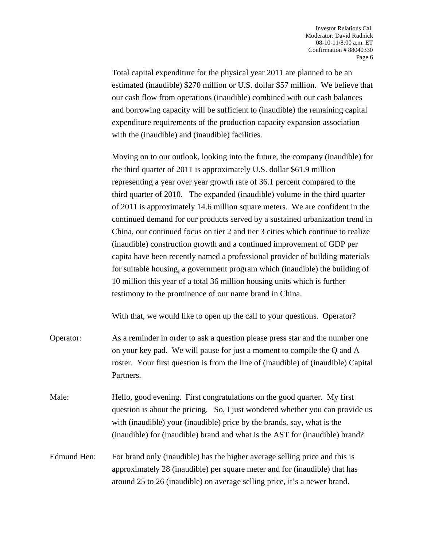Total capital expenditure for the physical year 2011 are planned to be an estimated (inaudible) \$270 million or U.S. dollar \$57 million. We believe that our cash flow from operations (inaudible) combined with our cash balances and borrowing capacity will be sufficient to (inaudible) the remaining capital expenditure requirements of the production capacity expansion association with the (inaudible) and (inaudible) facilities.

 Moving on to our outlook, looking into the future, the company (inaudible) for the third quarter of 2011 is approximately U.S. dollar \$61.9 million representing a year over year growth rate of 36.1 percent compared to the third quarter of 2010. The expanded (inaudible) volume in the third quarter of 2011 is approximately 14.6 million square meters. We are confident in the continued demand for our products served by a sustained urbanization trend in China, our continued focus on tier 2 and tier 3 cities which continue to realize (inaudible) construction growth and a continued improvement of GDP per capita have been recently named a professional provider of building materials for suitable housing, a government program which (inaudible) the building of 10 million this year of a total 36 million housing units which is further testimony to the prominence of our name brand in China.

With that, we would like to open up the call to your questions. Operator?

- Operator: As a reminder in order to ask a question please press star and the number one on your key pad. We will pause for just a moment to compile the Q and A roster. Your first question is from the line of (inaudible) of (inaudible) Capital Partners.
- Male: Hello, good evening. First congratulations on the good quarter. My first question is about the pricing. So, I just wondered whether you can provide us with (inaudible) your (inaudible) price by the brands, say, what is the (inaudible) for (inaudible) brand and what is the AST for (inaudible) brand?

## Edmund Hen: For brand only (inaudible) has the higher average selling price and this is approximately 28 (inaudible) per square meter and for (inaudible) that has around 25 to 26 (inaudible) on average selling price, it's a newer brand.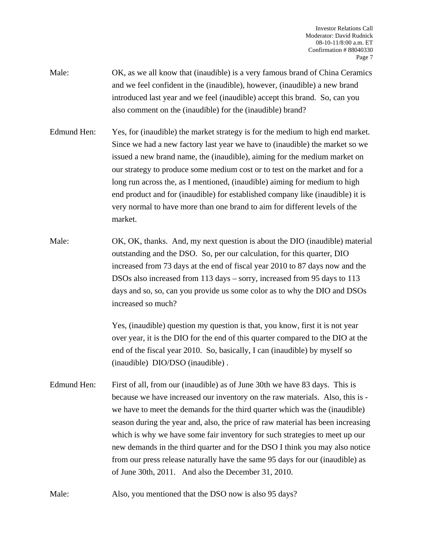Investor Relations Call Moderator: David Rudnick 08-10-11/8:00 a.m. ET Confirmation # 88040330 Page 7

- Male: OK, as we all know that (inaudible) is a very famous brand of China Ceramics and we feel confident in the (inaudible), however, (inaudible) a new brand introduced last year and we feel (inaudible) accept this brand. So, can you also comment on the (inaudible) for the (inaudible) brand?
- Edmund Hen: Yes, for (inaudible) the market strategy is for the medium to high end market. Since we had a new factory last year we have to (inaudible) the market so we issued a new brand name, the (inaudible), aiming for the medium market on our strategy to produce some medium cost or to test on the market and for a long run across the, as I mentioned, (inaudible) aiming for medium to high end product and for (inaudible) for established company like (inaudible) it is very normal to have more than one brand to aim for different levels of the market.
- Male: OK, OK, thanks. And, my next question is about the DIO (inaudible) material outstanding and the DSO. So, per our calculation, for this quarter, DIO increased from 73 days at the end of fiscal year 2010 to 87 days now and the DSOs also increased from 113 days – sorry, increased from 95 days to 113 days and so, so, can you provide us some color as to why the DIO and DSOs increased so much?

 Yes, (inaudible) question my question is that, you know, first it is not year over year, it is the DIO for the end of this quarter compared to the DIO at the end of the fiscal year 2010. So, basically, I can (inaudible) by myself so (inaudible) DIO/DSO (inaudible) .

Edmund Hen: First of all, from our (inaudible) as of June 30th we have 83 days. This is because we have increased our inventory on the raw materials. Also, this is we have to meet the demands for the third quarter which was the (inaudible) season during the year and, also, the price of raw material has been increasing which is why we have some fair inventory for such strategies to meet up our new demands in the third quarter and for the DSO I think you may also notice from our press release naturally have the same 95 days for our (inaudible) as of June 30th, 2011. And also the December 31, 2010.

Male: Also, you mentioned that the DSO now is also 95 days?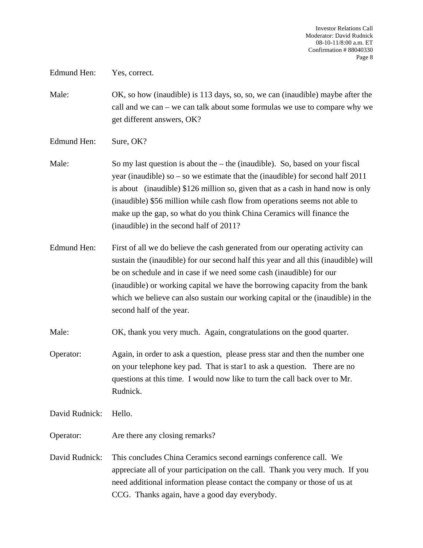Edmund Hen: Yes, correct.

Male: OK, so how (inaudible) is 113 days, so, so, we can (inaudible) maybe after the call and we can – we can talk about some formulas we use to compare why we get different answers, OK?

Edmund Hen: Sure, OK?

- Male: So my last question is about the the (inaudible). So, based on your fiscal year (inaudible) so – so we estimate that the (inaudible) for second half 2011 is about (inaudible) \$126 million so, given that as a cash in hand now is only (inaudible) \$56 million while cash flow from operations seems not able to make up the gap, so what do you think China Ceramics will finance the (inaudible) in the second half of 2011?
- Edmund Hen: First of all we do believe the cash generated from our operating activity can sustain the (inaudible) for our second half this year and all this (inaudible) will be on schedule and in case if we need some cash (inaudible) for our (inaudible) or working capital we have the borrowing capacity from the bank which we believe can also sustain our working capital or the (inaudible) in the second half of the year.

Male: OK, thank you very much. Again, congratulations on the good quarter.

Operator: Again, in order to ask a question, please press star and then the number one on your telephone key pad. That is star1 to ask a question. There are no questions at this time. I would now like to turn the call back over to Mr. Rudnick.

David Rudnick: Hello.

- Operator: Are there any closing remarks?
- David Rudnick: This concludes China Ceramics second earnings conference call. We appreciate all of your participation on the call. Thank you very much. If you need additional information please contact the company or those of us at CCG. Thanks again, have a good day everybody.